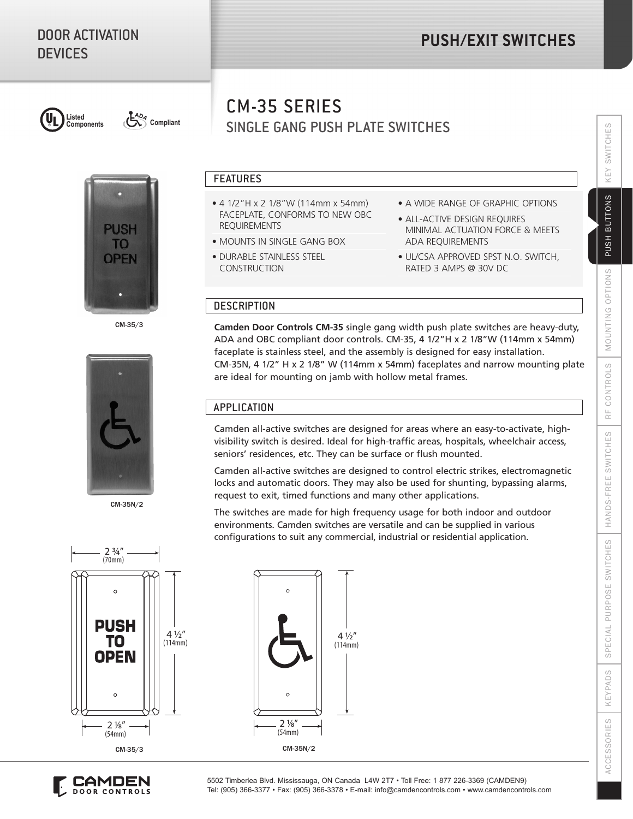

**Components Compliant**



CM-35/3



CM-35N/2

# SINGLE GANG PUSH PLATE SWITCHES CM-35 SERIES

#### FEATURES

- 4 1/2"H x 2 1/8"W (114mm x 54mm) FACEPLATE, CONFORMS TO NEW OBC REQUIREMENTS
- MOUNTS IN SINGLE GANG BOX
- DURABLE STAINLESS STEEL CONSTRUCTION
- A WIDE RANGE OF GRAPHIC OPTIONS
- ALL-ACTIVE DESIGN REQUIRES MINIMAL ACTUATION FORCE & MEETS ADA REQUIREMENTS
- UL/CSA APPROVED SPST N.O. SWITCH, RATED 3 AMPS @ 30V DC

# **DESCRIPTION**

**Camden Door Controls CM-35** single gang width push plate switches are heavy-duty, ADA and OBC compliant door controls. CM-35, 4 1/2"H x 2 1/8"W (114mm x 54mm) faceplate is stainless steel, and the assembly is designed for easy installation. CM-35N, 4 1/2" H x 2 1/8" W (114mm x 54mm) faceplates and narrow mounting plate are ideal for mounting on jamb with hollow metal frames.

## APPLICATION

Camden all-active switches are designed for areas where an easy-to-activate, highvisibility switch is desired. Ideal for high-traffic areas, hospitals, wheelchair access, seniors' residences, etc. They can be surface or flush mounted.

Camden all-active switches are designed to control electric strikes, electromagnetic locks and automatic doors. They may also be used for shunting, bypassing alarms, request to exit, timed functions and many other applications.

The switches are made for high frequency usage for both indoor and outdoor environments. Camden switches are versatile and can be supplied in various configurations to suit any commercial, industrial or residential application.